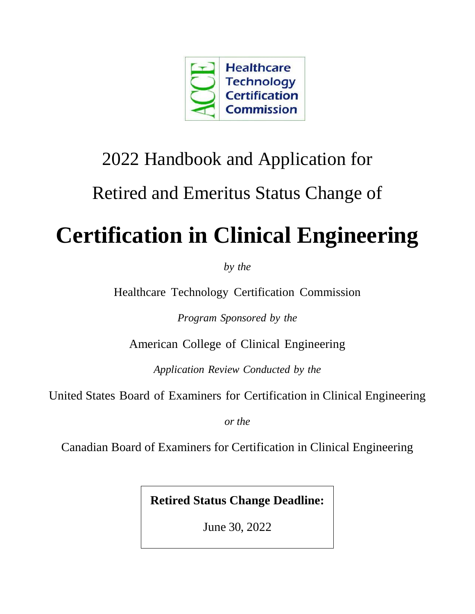

# 2022 Handbook and Application for Retired and Emeritus Status Change of

# **Certification in Clinical Engineering**

*by the*

Healthcare Technology [Certification](http://accenet.org/CECertification/Pages/Default.aspx) Commission

*Program Sponsored by the*

American College of Clinical Engineering

*Application Review Conducted by the*

United States Board of Examiners for Certification in Clinical Engineering

*or the*

Canadian Board of Examiners for Certification in Clinical Engineering

**Retired Status Change Deadline:** 

June 30, 2022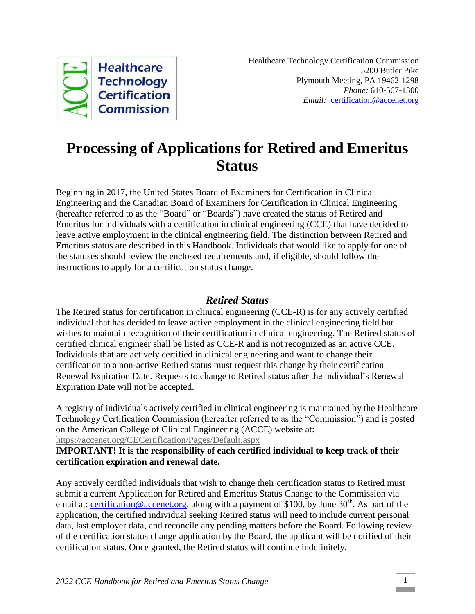

## **Processing of Applications for Retired and Emeritus Status**

Beginning in 2017, the United States Board of Examiners for Certification in Clinical Engineering and the Canadian Board of Examiners for Certification in Clinical Engineering (hereafter referred to as the "Board" or "Boards") have created the status of Retired and Emeritus for individuals with a certification in clinical engineering (CCE) that have decided to leave active employment in the clinical engineering field. The distinction between Retired and Emeritus status are described in this Handbook. Individuals that would like to apply for one of the statuses should review the enclosed requirements and, if eligible, should follow the instructions to apply for a certification status change.

### *Retired Status*

The Retired status for certification in clinical engineering (CCE-R) is for any actively certified individual that has decided to leave active employment in the clinical engineering field but wishes to maintain recognition of their certification in clinical engineering. The Retired status of certified clinical engineer shall be listed as CCE-R and is not recognized as an active CCE. Individuals that are actively certified in clinical engineering and want to change their certification to a non-active Retired status must request this change by their certification Renewal Expiration Date. Requests to change to Retired status after the individual's Renewal Expiration Date will not be accepted.

A registry of individuals actively certified in clinical engineering is maintained by the Healthcare Technology Certification Commission (hereafter referred to as the "Commission") and is posted on the American College of Clinical Engineering (ACCE) website at: <https://accenet.org/CECertification/Pages/Default.aspx>

#### I**MPORTANT! It is the responsibility of each certified individual to keep track of their certification expiration and renewal date.**

Any actively certified individuals that wish to change their certification status to Retired must submit a current Application for Retired and Emeritus Status Change to the Commission via email at: [certification@accenet.org,](mailto:certification@accenet.org) along with a payment of \$100, by June 30<sup>th</sup>. As part of the application, the certified individual seeking Retired status will need to include current personal data, last employer data, and reconcile any pending matters before the Board. Following review of the certification status change application by the Board, the applicant will be notified of their certification status. Once granted, the Retired status will continue indefinitely.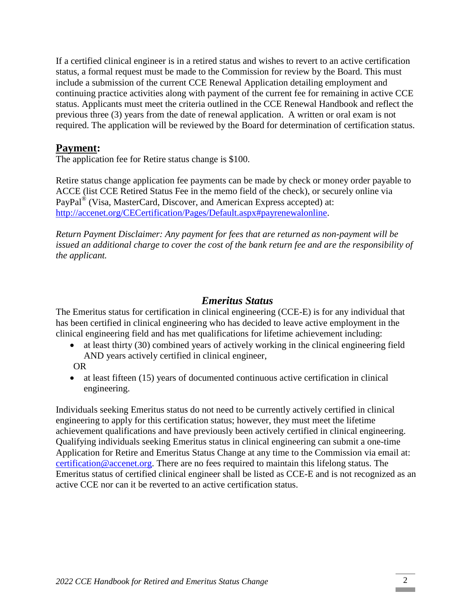If a certified clinical engineer is in a retired status and wishes to revert to an active certification status, a formal request must be made to the Commission for review by the Board. This must include a submission of the current CCE Renewal Application detailing employment and continuing practice activities along with payment of the current fee for remaining in active CCE status. Applicants must meet the criteria outlined in the CCE Renewal Handbook and reflect the previous three (3) years from the date of renewal application. A written or oral exam is not required. The application will be reviewed by the Board for determination of certification status.

## **Payment:**

The application fee for Retire status change is \$100.

Retire status change application fee payments can be made by check or money order payable to ACCE (list CCE Retired Status Fee in the memo field of the check), or securely online via PayPal<sup>®</sup> (Visa, MasterCard, Discover, and American Express accepted) at: [http://accenet.org/CECertification/Pages/Default.aspx#payrenewalonline.](http://accenet.org/CECertification/Pages/Default.aspx#payrenewalonline)

*Return Payment Disclaimer: Any payment for fees that are returned as non-payment will be issued an additional charge to cover the cost of the bank return fee and are the responsibility of the applicant.*

### *Emeritus Status*

The Emeritus status for certification in clinical engineering (CCE-E) is for any individual that has been certified in clinical engineering who has decided to leave active employment in the clinical engineering field and has met qualifications for lifetime achievement including:

- at least thirty (30) combined years of actively working in the clinical engineering field AND years actively certified in clinical engineer,
- OR
- at least fifteen (15) years of documented continuous active certification in clinical engineering.

Individuals seeking Emeritus status do not need to be currently actively certified in clinical engineering to apply for this certification status; however, they must meet the lifetime achievement qualifications and have previously been actively certified in clinical engineering. Qualifying individuals seeking Emeritus status in clinical engineering can submit a one-time Application for Retire and Emeritus Status Change at any time to the Commission via email at: [certification@accenet.org.](mailto:certification@accenet.org) There are no fees required to maintain this lifelong status. The Emeritus status of certified clinical engineer shall be listed as CCE-E and is not recognized as an active CCE nor can it be reverted to an active certification status.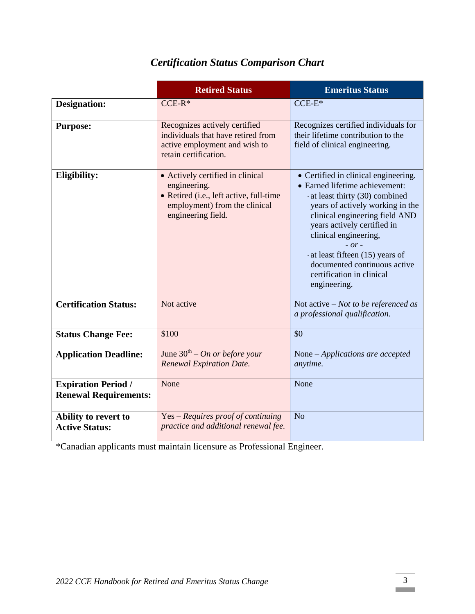|                                                            | <b>Retired Status</b>                                                                                                                              | <b>Emeritus Status</b>                                                                                                                                                                                                                                                                                                                                           |
|------------------------------------------------------------|----------------------------------------------------------------------------------------------------------------------------------------------------|------------------------------------------------------------------------------------------------------------------------------------------------------------------------------------------------------------------------------------------------------------------------------------------------------------------------------------------------------------------|
| <b>Designation:</b>                                        | $CCE-R*$                                                                                                                                           | $CCE-E*$                                                                                                                                                                                                                                                                                                                                                         |
| <b>Purpose:</b>                                            | Recognizes actively certified<br>individuals that have retired from<br>active employment and wish to<br>retain certification.                      | Recognizes certified individuals for<br>their lifetime contribution to the<br>field of clinical engineering.                                                                                                                                                                                                                                                     |
| Eligibility:                                               | • Actively certified in clinical<br>engineering.<br>• Retired (i.e., left active, full-time<br>employment) from the clinical<br>engineering field. | • Certified in clinical engineering.<br>• Earned lifetime achievement:<br>at least thirty (30) combined<br>years of actively working in the<br>clinical engineering field AND<br>years actively certified in<br>clinical engineering,<br>$- or -$<br>at least fifteen (15) years of<br>documented continuous active<br>certification in clinical<br>engineering. |
| <b>Certification Status:</b>                               | Not active                                                                                                                                         | Not active $-$ Not to be referenced as<br>a professional qualification.                                                                                                                                                                                                                                                                                          |
| <b>Status Change Fee:</b>                                  | \$100                                                                                                                                              | \$0                                                                                                                                                                                                                                                                                                                                                              |
| <b>Application Deadline:</b>                               | June $30^{th}$ – On or before your<br><b>Renewal Expiration Date.</b>                                                                              | None - Applications are accepted<br>anytime.                                                                                                                                                                                                                                                                                                                     |
| <b>Expiration Period /</b><br><b>Renewal Requirements:</b> | None                                                                                                                                               | None                                                                                                                                                                                                                                                                                                                                                             |
| Ability to revert to<br><b>Active Status:</b>              | Yes – Requires proof of continuing<br>practice and additional renewal fee.                                                                         | N <sub>o</sub>                                                                                                                                                                                                                                                                                                                                                   |

## *Certification Status Comparison Chart*

\*Canadian applicants must maintain licensure as Professional Engineer.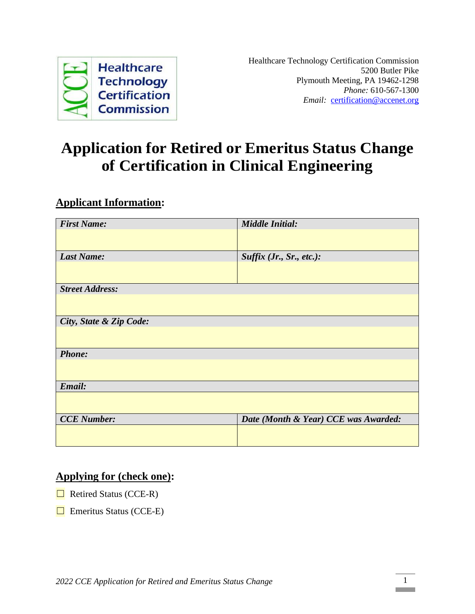

## **Application for Retired or Emeritus Status Change of Certification in Clinical Engineering**

## **Applicant Information:**

| <b>First Name:</b>      | <b>Middle Initial:</b>               |  |
|-------------------------|--------------------------------------|--|
|                         |                                      |  |
|                         |                                      |  |
| <b>Last Name:</b>       | Suffix (Jr., Sr., etc.):             |  |
|                         |                                      |  |
|                         |                                      |  |
| <b>Street Address:</b>  |                                      |  |
|                         |                                      |  |
|                         |                                      |  |
| City, State & Zip Code: |                                      |  |
|                         |                                      |  |
|                         |                                      |  |
| <b>Phone:</b>           |                                      |  |
|                         |                                      |  |
|                         |                                      |  |
| Email:                  |                                      |  |
|                         |                                      |  |
|                         |                                      |  |
| <b>CCE</b> Number:      | Date (Month & Year) CCE was Awarded: |  |
|                         |                                      |  |
|                         |                                      |  |

## **Applying for (check one):**

- $\Box$  Retired Status (CCE-R)
- $\Box$  Emeritus Status (CCE-E)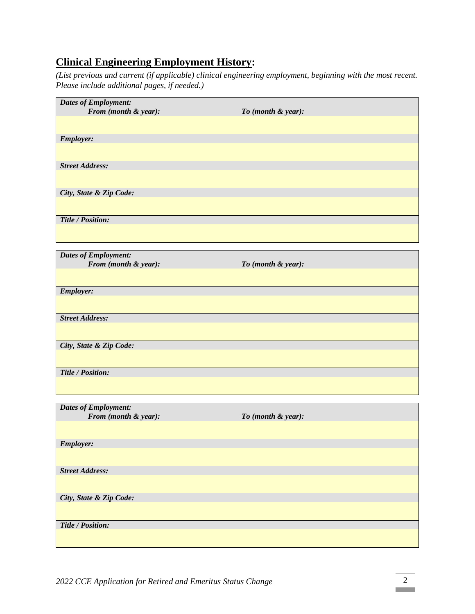## **Clinical Engineering Employment History:**

*(List previous and current (if applicable) clinical engineering employment, beginning with the most recent. Please include additional pages, if needed.)*

| <b>Dates of Employment:</b> |                    |
|-----------------------------|--------------------|
| From (month & year):        | To (month & year): |
|                             |                    |
| <b>Employer:</b>            |                    |
| <b>Street Address:</b>      |                    |
|                             |                    |
| City, State & Zip Code:     |                    |
|                             |                    |
| Title / Position:           |                    |
|                             |                    |
| <b>Dates of Employment:</b> |                    |
| From (month & year):        | To (month & year): |
|                             |                    |
| <b>Employer:</b>            |                    |
|                             |                    |
| <b>Street Address:</b>      |                    |
|                             |                    |
| City, State & Zip Code:     |                    |
|                             |                    |
| Title / Position:           |                    |
|                             |                    |
| <b>Dates of Employment:</b> |                    |
| From (month & year):        | To (month & year): |
|                             |                    |
| <b>Employer:</b>            |                    |
|                             |                    |
| <b>Street Address:</b>      |                    |
|                             |                    |
| City, State & Zip Code:     |                    |
|                             |                    |
| Title / Position:           |                    |
|                             |                    |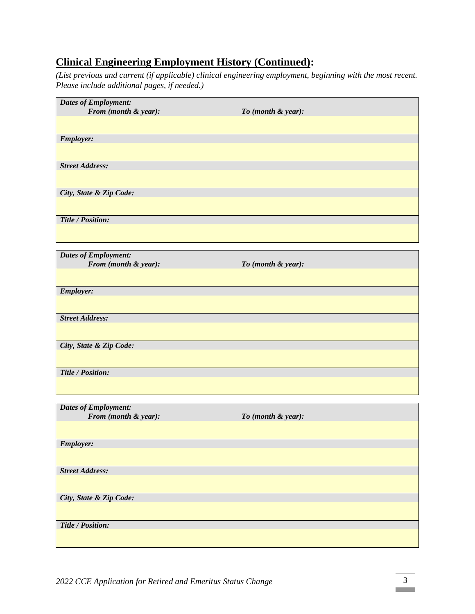## **Clinical Engineering Employment History (Continued):**

*(List previous and current (if applicable) clinical engineering employment, beginning with the most recent. Please include additional pages, if needed.)*

| <b>Dates of Employment:</b>                         |                    |
|-----------------------------------------------------|--------------------|
| From (month & year):                                | To (month & year): |
|                                                     |                    |
| <b>Employer:</b>                                    |                    |
|                                                     |                    |
| <b>Street Address:</b>                              |                    |
|                                                     |                    |
| City, State & Zip Code:                             |                    |
|                                                     |                    |
| Title / Position:                                   |                    |
|                                                     |                    |
| <b>Dates of Employment:</b>                         |                    |
| From (month & year):                                | To (month & year): |
|                                                     |                    |
| <b>Employer:</b>                                    |                    |
|                                                     |                    |
| <b>Street Address:</b>                              |                    |
|                                                     |                    |
| City, State & Zip Code:                             |                    |
|                                                     |                    |
| Title / Position:                                   |                    |
|                                                     |                    |
|                                                     |                    |
| <b>Dates of Employment:</b><br>From (month & year): | To (month & year): |
|                                                     |                    |
|                                                     |                    |
| <b>Employer:</b>                                    |                    |
| <b>Street Address:</b>                              |                    |
|                                                     |                    |
|                                                     |                    |
| City, State & Zip Code:                             |                    |
|                                                     |                    |
| Title / Position:                                   |                    |
|                                                     |                    |